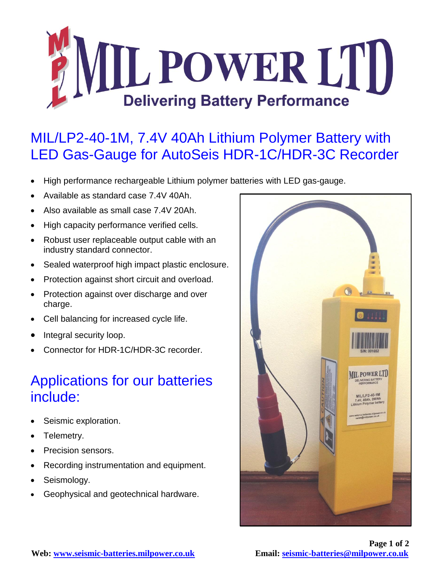

## MIL/LP2-40-1M, 7.4V 40Ah Lithium Polymer Battery with LED Gas-Gauge for AutoSeis HDR-1C/HDR-3C Recorder

- High performance rechargeable Lithium polymer batteries with LED gas-gauge.
- Available as standard case 7.4V 40Ah.
- Also available as small case 7.4V 20Ah.
- High capacity performance verified cells.
- Robust user replaceable output cable with an industry standard connector.
- Sealed waterproof high impact plastic enclosure.
- Protection against short circuit and overload.
- Protection against over discharge and over charge.
- Cell balancing for increased cycle life.
- Integral security loop.
- Connector for HDR-1C/HDR-3C recorder.

## Applications for our batteries include:

- Seismic exploration.
- Telemetry.
- Precision sensors.
- Recording instrumentation and equipment.
- Seismology.
- Geophysical and geotechnical hardware.